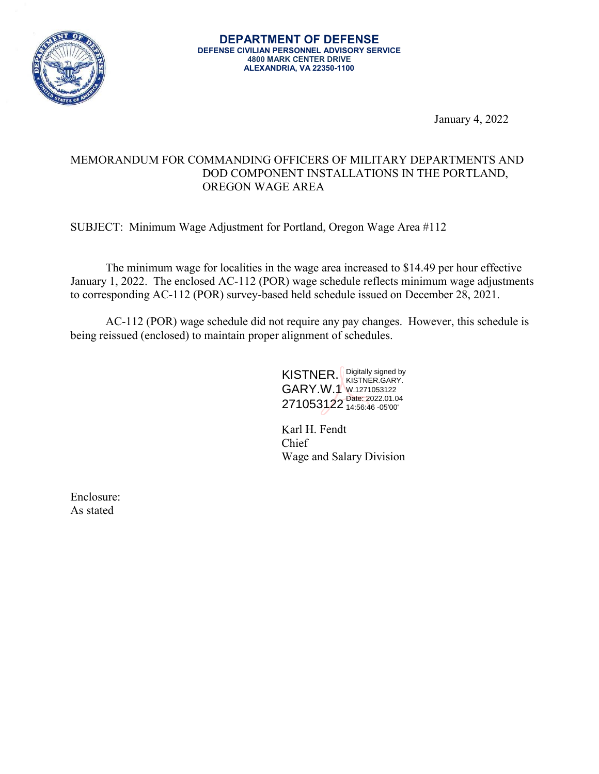

January 4, 2022

## MEMORANDUM FOR COMMANDING OFFICERS OF MILITARY DEPARTMENTS AND DOD COMPONENT INSTALLATIONS IN THE PORTLAND, OREGON WAGE AREA

SUBJECT: Minimum Wage Adjustment for Portland, Oregon Wage Area #112

The minimum wage for localities in the wage area increased to \$14.49 per hour effective January 1, 2022. The enclosed AC-112 (POR) wage schedule reflects minimum wage adjustments to corresponding AC-112 (POR) survey-based held schedule issued on December 28, 2021.

AC-112 (POR) wage schedule did not require any pay changes. However, this schedule is being reissued (enclosed) to maintain proper alignment of schedules.

> KISTNER. Eigitally signed by GARY.W.1 W.1271053122 271053122 Date: 2022.01.04 KISTNER.GARY. 14:56:46 -05'00'

> Karl H. Fendt Chief Wage and Salary Division

Enclosure: As stated